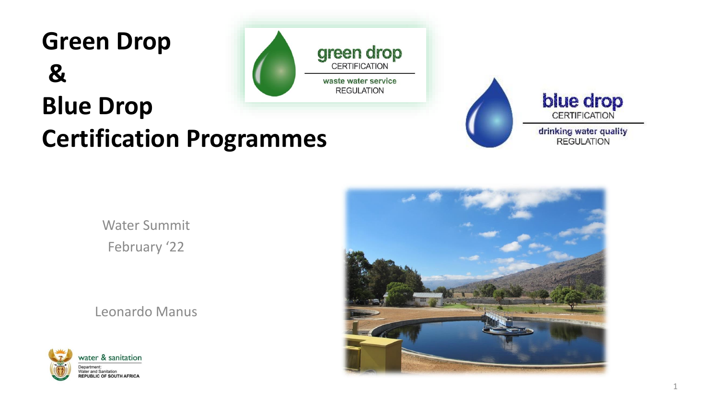# **Green Drop & Blue Drop Certification Programmes**







drinking water quality **REGULATION** 

Water Summit February '22

Leonardo Manus



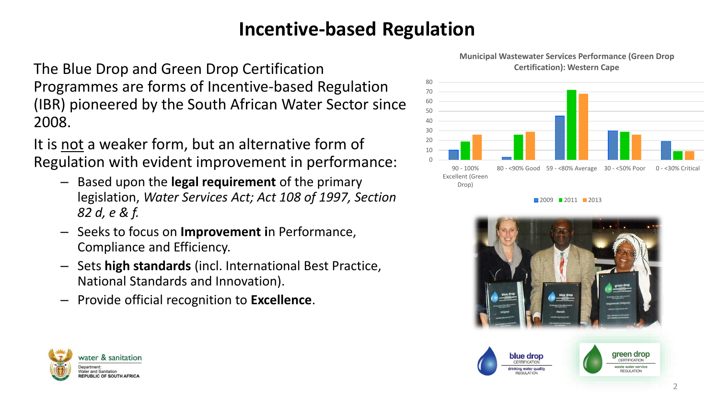#### **Incentive-based Regulation**

The Blue Drop and Green Drop Certification Programmes are forms of Incentive-based Regulation (IBR) pioneered by the South African Water Sector since 2008.

It is not a weaker form, but an alternative form of Regulation with evident improvement in performance:

- Based upon the **legal requirement** of the primary legislation, *Water Services Act; Act 108 of 1997, Section 82 d, e & f.*
- Seeks to focus on **Improvement i**n Performance, Compliance and Efficiency.
- Sets **high standards** (incl. International Best Practice, National Standards and Innovation).
- Provide official recognition to **Excellence**.

water & sanitation

**Nater and Sanitation EPUBLIC OF SOUTH AFRICA** 



**Municipal Wastewater Services Performance (Green Drop** 

**2009 2011 2013** 



2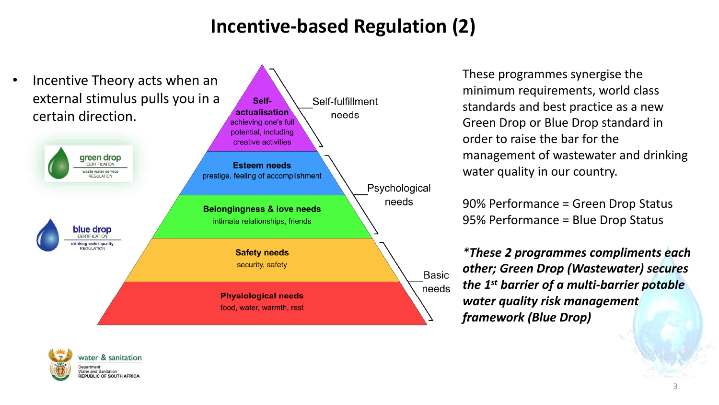#### **Incentive-based Regulation (2)**



These programmes synergise the minimum requirements, world class standards and best practice as a new Green Drop or Blue Drop standard in order to raise the bar for the management of wastewater and drinking water quality in our country.

90% Performance = Green Drop Status 95% Performance = Blue Drop Status

*\*These 2 programmes [compliments each](https://www.google.com/url?sa=i&url=https://pnghunter.com/png/water-drops-32/&psig=AOvVaw2x-sYTNyT21cHZxPDNjucf&ust=1592895055162000&source=images&cd=vfe&ved=0CAIQjRxqFwoTCIiZuMjqlOoCFQAAAAAdAAAAABAF)  other; Green Drop (Wastewater) secures the 1st barrier of a multi-barrier potable water quality risk management framework (Blue Drop)*

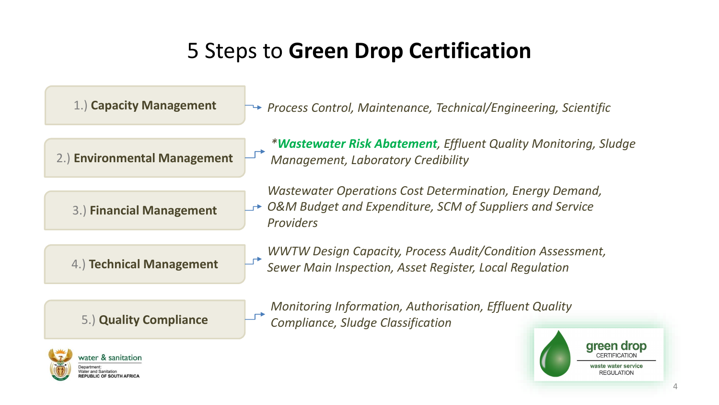### 5 Steps to **Green Drop Certification**





aste water service

REGULATION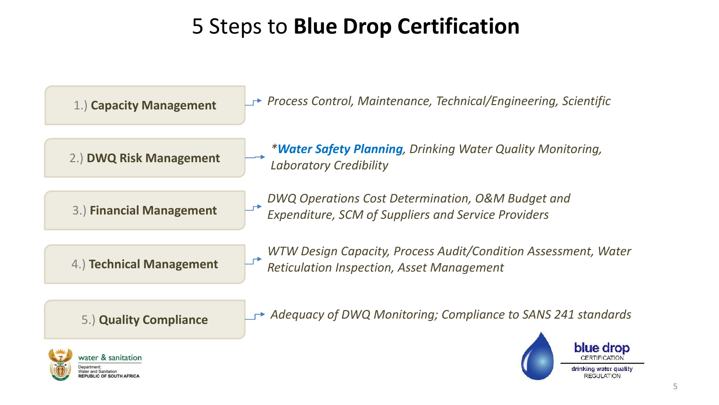## 5 Steps to **Blue Drop Certification**





drinking water quality

REGULATION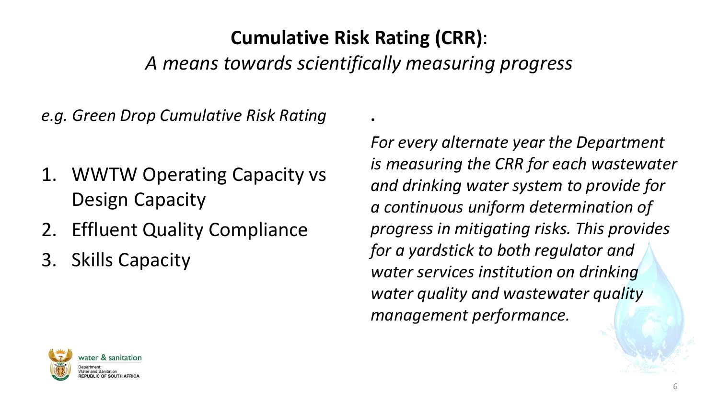#### **Cumulative Risk Rating (CRR)**:

*A means towards scientifically measuring progress* 

**.**

*e.g. Green Drop Cumulative Risk Rating* 

- 1. WWTW Operating Capacity vs Design Capacity
- 2. Effluent Quality Compliance

3. Skills Capacity

*For every alternate year the Department is measuring the CRR for each wastewater and drinking water system to provide for a continuous uniform determination of progress in mitigating risks. This provides for a yardstick to both regulator and water services institution on drinking water quality and wastewa[ter quality](https://www.google.com/url?sa=i&url=https://pnghunter.com/png/water-drops-32/&psig=AOvVaw2x-sYTNyT21cHZxPDNjucf&ust=1592895055162000&source=images&cd=vfe&ved=0CAIQjRxqFwoTCIiZuMjqlOoCFQAAAAAdAAAAABAF)  management performance.* 

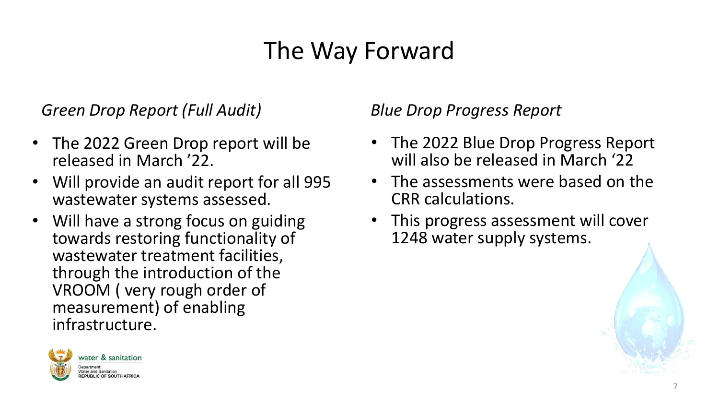## The Way Forward

*Green Drop Report (Full Audit)*

- The 2022 Green Drop report will be released in March '22.
- Will provide an audit report for all 995 wastewater systems assessed.
- Will have a strong focus on guiding towards restoring functionality of wastewater treatment facilities, through the introduction of the VROOM ( very rough order of measurement) of enabling infrastructure.



*Blue Drop Progress Report* 

- The 2022 Blue Drop Progress Report will also be released in March '22
- The assessments were based on the CRR calculations.
- This progress assessment will cover 1248 water supply syste[ms.](https://www.google.com/url?sa=i&url=https://pnghunter.com/png/water-drops-32/&psig=AOvVaw2x-sYTNyT21cHZxPDNjucf&ust=1592895055162000&source=images&cd=vfe&ved=0CAIQjRxqFwoTCIiZuMjqlOoCFQAAAAAdAAAAABAF)